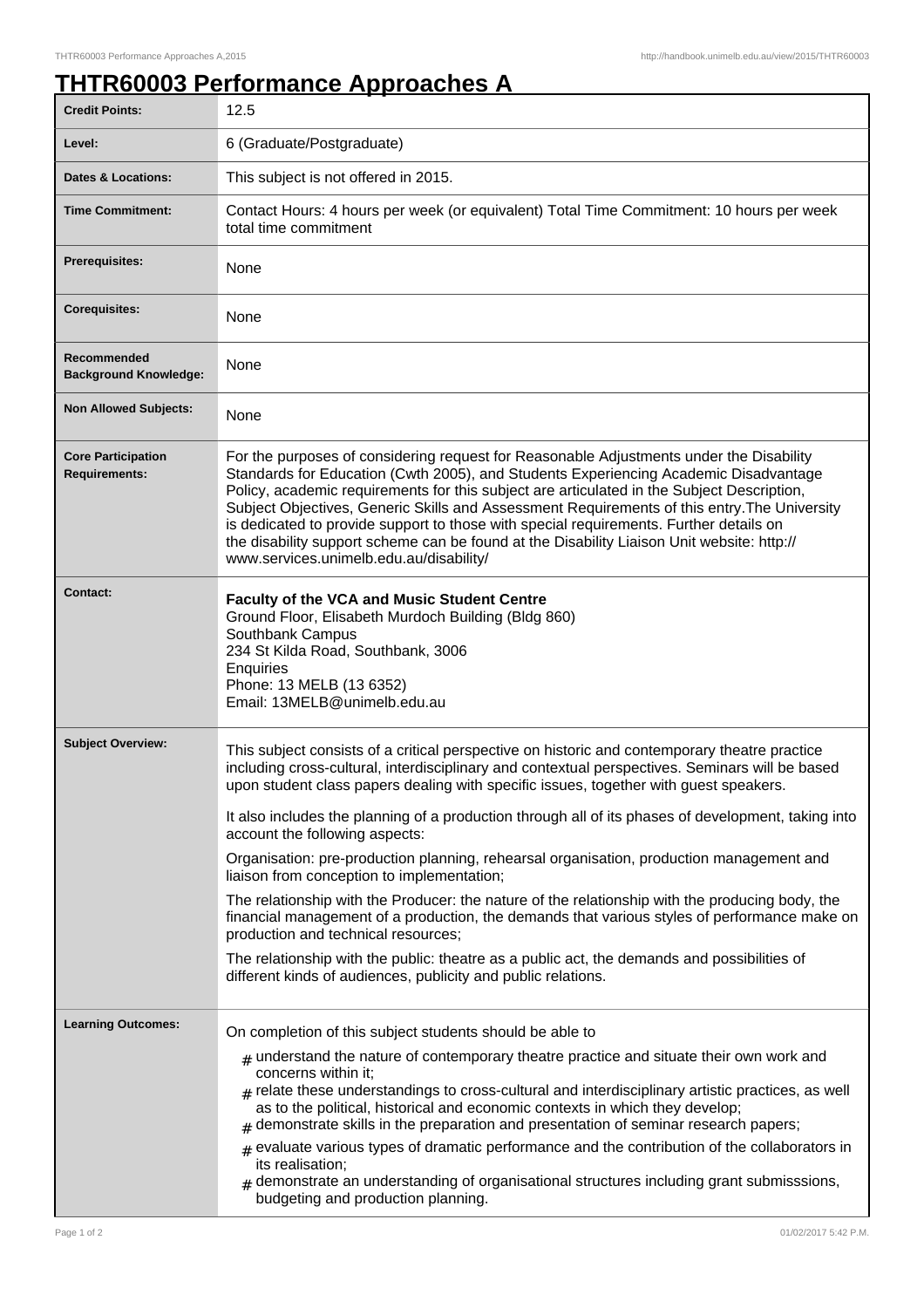## **THTR60003 Performance Approaches A**

| <b>Credit Points:</b>                             | 12.5                                                                                                                                                                                                                                                                                                                                                                                                                                                                                                                                                                                                                                                                                                                                                                                                                                                                                                                                                                                   |
|---------------------------------------------------|----------------------------------------------------------------------------------------------------------------------------------------------------------------------------------------------------------------------------------------------------------------------------------------------------------------------------------------------------------------------------------------------------------------------------------------------------------------------------------------------------------------------------------------------------------------------------------------------------------------------------------------------------------------------------------------------------------------------------------------------------------------------------------------------------------------------------------------------------------------------------------------------------------------------------------------------------------------------------------------|
| Level:                                            | 6 (Graduate/Postgraduate)                                                                                                                                                                                                                                                                                                                                                                                                                                                                                                                                                                                                                                                                                                                                                                                                                                                                                                                                                              |
| <b>Dates &amp; Locations:</b>                     | This subject is not offered in 2015.                                                                                                                                                                                                                                                                                                                                                                                                                                                                                                                                                                                                                                                                                                                                                                                                                                                                                                                                                   |
| <b>Time Commitment:</b>                           | Contact Hours: 4 hours per week (or equivalent) Total Time Commitment: 10 hours per week<br>total time commitment                                                                                                                                                                                                                                                                                                                                                                                                                                                                                                                                                                                                                                                                                                                                                                                                                                                                      |
| Prerequisites:                                    | None                                                                                                                                                                                                                                                                                                                                                                                                                                                                                                                                                                                                                                                                                                                                                                                                                                                                                                                                                                                   |
| <b>Corequisites:</b>                              | None                                                                                                                                                                                                                                                                                                                                                                                                                                                                                                                                                                                                                                                                                                                                                                                                                                                                                                                                                                                   |
| Recommended<br><b>Background Knowledge:</b>       | None                                                                                                                                                                                                                                                                                                                                                                                                                                                                                                                                                                                                                                                                                                                                                                                                                                                                                                                                                                                   |
| <b>Non Allowed Subjects:</b>                      | None                                                                                                                                                                                                                                                                                                                                                                                                                                                                                                                                                                                                                                                                                                                                                                                                                                                                                                                                                                                   |
| <b>Core Participation</b><br><b>Requirements:</b> | For the purposes of considering request for Reasonable Adjustments under the Disability<br>Standards for Education (Cwth 2005), and Students Experiencing Academic Disadvantage<br>Policy, academic requirements for this subject are articulated in the Subject Description,<br>Subject Objectives, Generic Skills and Assessment Requirements of this entry. The University<br>is dedicated to provide support to those with special requirements. Further details on<br>the disability support scheme can be found at the Disability Liaison Unit website: http://<br>www.services.unimelb.edu.au/disability/                                                                                                                                                                                                                                                                                                                                                                       |
| <b>Contact:</b>                                   | Faculty of the VCA and Music Student Centre<br>Ground Floor, Elisabeth Murdoch Building (Bldg 860)<br>Southbank Campus<br>234 St Kilda Road, Southbank, 3006<br>Enquiries<br>Phone: 13 MELB (13 6352)<br>Email: 13MELB@unimelb.edu.au                                                                                                                                                                                                                                                                                                                                                                                                                                                                                                                                                                                                                                                                                                                                                  |
| <b>Subject Overview:</b>                          | This subject consists of a critical perspective on historic and contemporary theatre practice<br>including cross-cultural, interdisciplinary and contextual perspectives. Seminars will be based<br>upon student class papers dealing with specific issues, together with guest speakers.<br>It also includes the planning of a production through all of its phases of development, taking into<br>account the following aspects:<br>Organisation: pre-production planning, rehearsal organisation, production management and<br>liaison from conception to implementation;<br>The relationship with the Producer: the nature of the relationship with the producing body, the<br>financial management of a production, the demands that various styles of performance make on<br>production and technical resources;<br>The relationship with the public: theatre as a public act, the demands and possibilities of<br>different kinds of audiences, publicity and public relations. |
| <b>Learning Outcomes:</b>                         | On completion of this subject students should be able to<br>$#$ understand the nature of contemporary theatre practice and situate their own work and<br>concerns within it;<br>$_{\text{\#}}$ relate these understandings to cross-cultural and interdisciplinary artistic practices, as well<br>as to the political, historical and economic contexts in which they develop;<br>$#$ demonstrate skills in the preparation and presentation of seminar research papers;<br>$#$ evaluate various types of dramatic performance and the contribution of the collaborators in<br>its realisation;<br>$#$ demonstrate an understanding of organisational structures including grant submisssions,<br>budgeting and production planning.                                                                                                                                                                                                                                                   |